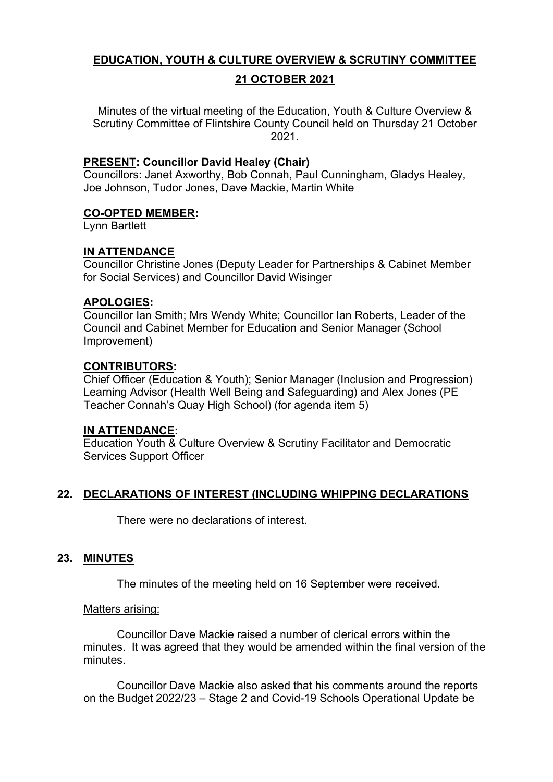# **EDUCATION, YOUTH & CULTURE OVERVIEW & SCRUTINY COMMITTEE**

# **21 OCTOBER 2021**

Minutes of the virtual meeting of the Education, Youth & Culture Overview & Scrutiny Committee of Flintshire County Council held on Thursday 21 October 2021.

### **PRESENT: Councillor David Healey (Chair)**

Councillors: Janet Axworthy, Bob Connah, Paul Cunningham, Gladys Healey, Joe Johnson, Tudor Jones, Dave Mackie, Martin White

#### **CO-OPTED MEMBER:**

Lynn Bartlett

# **IN ATTENDANCE**

Councillor Christine Jones (Deputy Leader for Partnerships & Cabinet Member for Social Services) and Councillor David Wisinger

### **APOLOGIES:**

Councillor Ian Smith; Mrs Wendy White; Councillor Ian Roberts, Leader of the Council and Cabinet Member for Education and Senior Manager (School Improvement)

### **CONTRIBUTORS:**

Chief Officer (Education & Youth); Senior Manager (Inclusion and Progression) Learning Advisor (Health Well Being and Safeguarding) and Alex Jones (PE Teacher Connah's Quay High School) (for agenda item 5)

# **IN ATTENDANCE:**

Education Youth & Culture Overview & Scrutiny Facilitator and Democratic Services Support Officer

# **22. DECLARATIONS OF INTEREST (INCLUDING WHIPPING DECLARATIONS**

There were no declarations of interest.

# **23. MINUTES**

The minutes of the meeting held on 16 September were received.

#### Matters arising:

Councillor Dave Mackie raised a number of clerical errors within the minutes. It was agreed that they would be amended within the final version of the minutes.

Councillor Dave Mackie also asked that his comments around the reports on the Budget 2022/23 – Stage 2 and Covid-19 Schools Operational Update be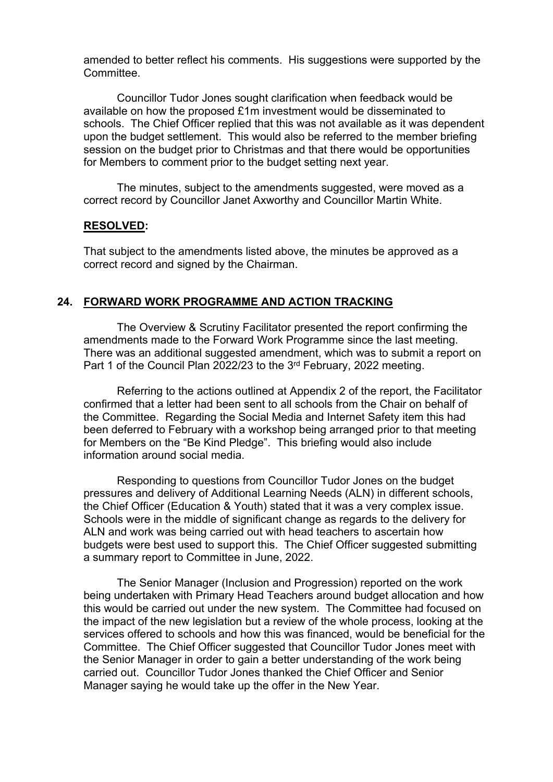amended to better reflect his comments. His suggestions were supported by the Committee.

Councillor Tudor Jones sought clarification when feedback would be available on how the proposed £1m investment would be disseminated to schools. The Chief Officer replied that this was not available as it was dependent upon the budget settlement. This would also be referred to the member briefing session on the budget prior to Christmas and that there would be opportunities for Members to comment prior to the budget setting next year.

The minutes, subject to the amendments suggested, were moved as a correct record by Councillor Janet Axworthy and Councillor Martin White.

#### **RESOLVED:**

That subject to the amendments listed above, the minutes be approved as a correct record and signed by the Chairman.

#### **24. FORWARD WORK PROGRAMME AND ACTION TRACKING**

The Overview & Scrutiny Facilitator presented the report confirming the amendments made to the Forward Work Programme since the last meeting. There was an additional suggested amendment, which was to submit a report on Part 1 of the Council Plan 2022/23 to the 3<sup>rd</sup> February, 2022 meeting.

Referring to the actions outlined at Appendix 2 of the report, the Facilitator confirmed that a letter had been sent to all schools from the Chair on behalf of the Committee. Regarding the Social Media and Internet Safety item this had been deferred to February with a workshop being arranged prior to that meeting for Members on the "Be Kind Pledge". This briefing would also include information around social media.

Responding to questions from Councillor Tudor Jones on the budget pressures and delivery of Additional Learning Needs (ALN) in different schools, the Chief Officer (Education & Youth) stated that it was a very complex issue. Schools were in the middle of significant change as regards to the delivery for ALN and work was being carried out with head teachers to ascertain how budgets were best used to support this. The Chief Officer suggested submitting a summary report to Committee in June, 2022.

 The Senior Manager (Inclusion and Progression) reported on the work being undertaken with Primary Head Teachers around budget allocation and how this would be carried out under the new system. The Committee had focused on the impact of the new legislation but a review of the whole process, looking at the services offered to schools and how this was financed, would be beneficial for the Committee. The Chief Officer suggested that Councillor Tudor Jones meet with the Senior Manager in order to gain a better understanding of the work being carried out. Councillor Tudor Jones thanked the Chief Officer and Senior Manager saying he would take up the offer in the New Year.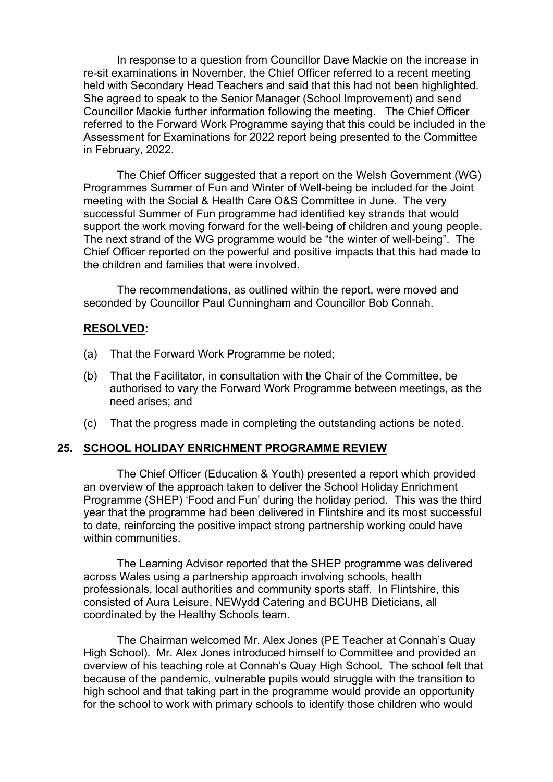In response to a question from Councillor Dave Mackie on the increase in re-sit examinations in November, the Chief Officer referred to a recent meeting held with Secondary Head Teachers and said that this had not been highlighted. She agreed to speak to the Senior Manager (School Improvement) and send Councillor Mackie further information following the meeting. The Chief Officer referred to the Forward Work Programme saying that this could be included in the Assessment for Examinations for 2022 report being presented to the Committee in February, 2022.

The Chief Officer suggested that a report on the Welsh Government (WG) Programmes Summer of Fun and Winter of Well-being be included for the Joint meeting with the Social & Health Care O&S Committee in June. The very successful Summer of Fun programme had identified key strands that would support the work moving forward for the well-being of children and young people. The next strand of the WG programme would be "the winter of well-being". The Chief Officer reported on the powerful and positive impacts that this had made to the children and families that were involved.

The recommendations, as outlined within the report, were moved and seconded by Councillor Paul Cunningham and Councillor Bob Connah.

### **RESOLVED:**

- (a) That the Forward Work Programme be noted;
- (b) That the Facilitator, in consultation with the Chair of the Committee, be authorised to vary the Forward Work Programme between meetings, as the need arises; and
- (c) That the progress made in completing the outstanding actions be noted.

# **25. SCHOOL HOLIDAY ENRICHMENT PROGRAMME REVIEW**

The Chief Officer (Education & Youth) presented a report which provided an overview of the approach taken to deliver the School Holiday Enrichment Programme (SHEP) 'Food and Fun' during the holiday period. This was the third year that the programme had been delivered in Flintshire and its most successful to date, reinforcing the positive impact strong partnership working could have within communities.

The Learning Advisor reported that the SHEP programme was delivered across Wales using a partnership approach involving schools, health professionals, local authorities and community sports staff. In Flintshire, this consisted of Aura Leisure, NEWydd Catering and BCUHB Dieticians, all coordinated by the Healthy Schools team.

The Chairman welcomed Mr. Alex Jones (PE Teacher at Connah's Quay High School). Mr. Alex Jones introduced himself to Committee and provided an overview of his teaching role at Connah's Quay High School. The school felt that because of the pandemic, vulnerable pupils would struggle with the transition to high school and that taking part in the programme would provide an opportunity for the school to work with primary schools to identify those children who would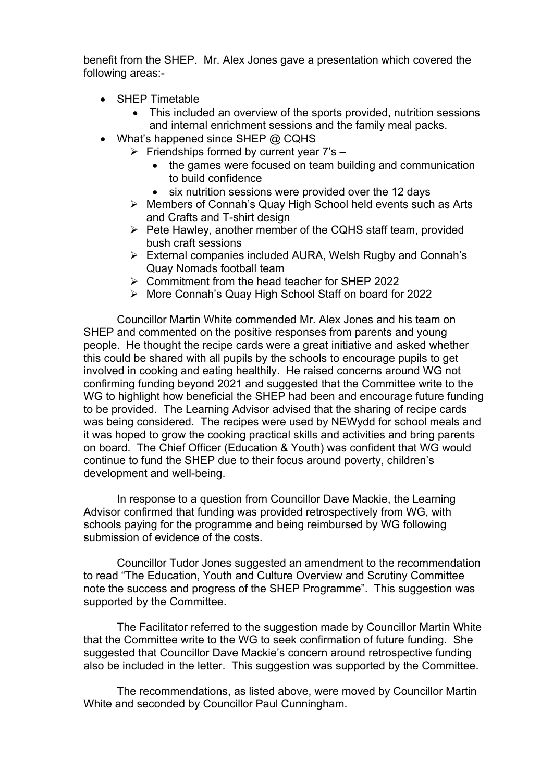benefit from the SHEP. Mr. Alex Jones gave a presentation which covered the following areas:-

- SHEP Timetable
	- This included an overview of the sports provided, nutrition sessions and internal enrichment sessions and the family meal packs.
- What's happened since SHEP @ CQHS
	- $\triangleright$  Friendships formed by current year 7's
		- the games were focused on team building and communication to build confidence
		- six nutrition sessions were provided over the 12 days
	- Members of Connah's Quay High School held events such as Arts and Crafts and T-shirt design
	- $\triangleright$  Pete Hawley, another member of the CQHS staff team, provided bush craft sessions
	- External companies included AURA, Welsh Rugby and Connah's Quay Nomads football team
	- Commitment from the head teacher for SHEP 2022
	- More Connah's Quay High School Staff on board for 2022

Councillor Martin White commended Mr. Alex Jones and his team on SHEP and commented on the positive responses from parents and young people. He thought the recipe cards were a great initiative and asked whether this could be shared with all pupils by the schools to encourage pupils to get involved in cooking and eating healthily. He raised concerns around WG not confirming funding beyond 2021 and suggested that the Committee write to the WG to highlight how beneficial the SHEP had been and encourage future funding to be provided. The Learning Advisor advised that the sharing of recipe cards was being considered. The recipes were used by NEWydd for school meals and it was hoped to grow the cooking practical skills and activities and bring parents on board. The Chief Officer (Education & Youth) was confident that WG would continue to fund the SHEP due to their focus around poverty, children's development and well-being.

In response to a question from Councillor Dave Mackie, the Learning Advisor confirmed that funding was provided retrospectively from WG, with schools paying for the programme and being reimbursed by WG following submission of evidence of the costs.

Councillor Tudor Jones suggested an amendment to the recommendation to read "The Education, Youth and Culture Overview and Scrutiny Committee note the success and progress of the SHEP Programme". This suggestion was supported by the Committee.

The Facilitator referred to the suggestion made by Councillor Martin White that the Committee write to the WG to seek confirmation of future funding. She suggested that Councillor Dave Mackie's concern around retrospective funding also be included in the letter. This suggestion was supported by the Committee.

The recommendations, as listed above, were moved by Councillor Martin White and seconded by Councillor Paul Cunningham.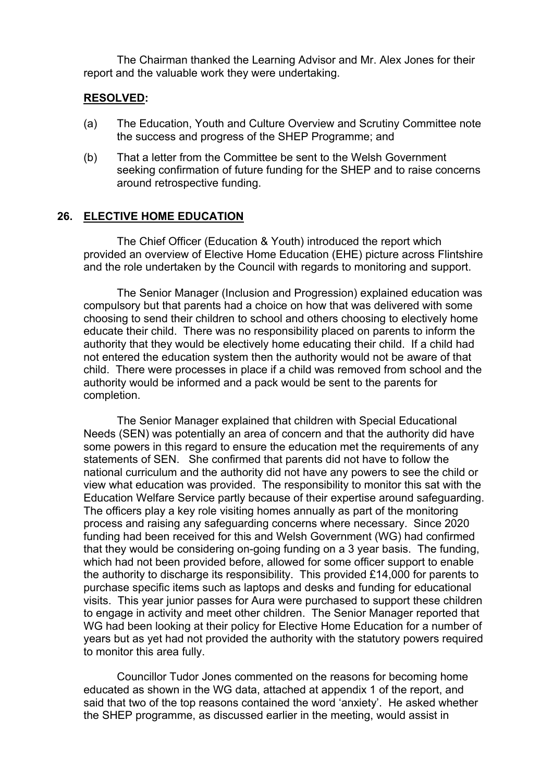The Chairman thanked the Learning Advisor and Mr. Alex Jones for their report and the valuable work they were undertaking.

#### **RESOLVED:**

- (a) The Education, Youth and Culture Overview and Scrutiny Committee note the success and progress of the SHEP Programme; and
- (b) That a letter from the Committee be sent to the Welsh Government seeking confirmation of future funding for the SHEP and to raise concerns around retrospective funding.

#### **26. ELECTIVE HOME EDUCATION**

The Chief Officer (Education & Youth) introduced the report which provided an overview of Elective Home Education (EHE) picture across Flintshire and the role undertaken by the Council with regards to monitoring and support.

The Senior Manager (Inclusion and Progression) explained education was compulsory but that parents had a choice on how that was delivered with some choosing to send their children to school and others choosing to electively home educate their child. There was no responsibility placed on parents to inform the authority that they would be electively home educating their child. If a child had not entered the education system then the authority would not be aware of that child. There were processes in place if a child was removed from school and the authority would be informed and a pack would be sent to the parents for completion.

The Senior Manager explained that children with Special Educational Needs (SEN) was potentially an area of concern and that the authority did have some powers in this regard to ensure the education met the requirements of any statements of SEN. She confirmed that parents did not have to follow the national curriculum and the authority did not have any powers to see the child or view what education was provided. The responsibility to monitor this sat with the Education Welfare Service partly because of their expertise around safeguarding. The officers play a key role visiting homes annually as part of the monitoring process and raising any safeguarding concerns where necessary. Since 2020 funding had been received for this and Welsh Government (WG) had confirmed that they would be considering on-going funding on a 3 year basis. The funding, which had not been provided before, allowed for some officer support to enable the authority to discharge its responsibility. This provided £14,000 for parents to purchase specific items such as laptops and desks and funding for educational visits. This year junior passes for Aura were purchased to support these children to engage in activity and meet other children. The Senior Manager reported that WG had been looking at their policy for Elective Home Education for a number of years but as yet had not provided the authority with the statutory powers required to monitor this area fully.

Councillor Tudor Jones commented on the reasons for becoming home educated as shown in the WG data, attached at appendix 1 of the report, and said that two of the top reasons contained the word 'anxiety'. He asked whether the SHEP programme, as discussed earlier in the meeting, would assist in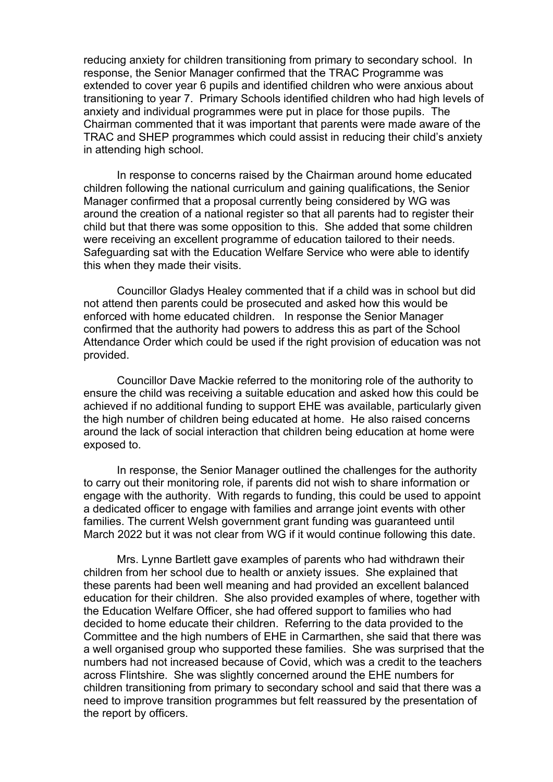reducing anxiety for children transitioning from primary to secondary school. In response, the Senior Manager confirmed that the TRAC Programme was extended to cover year 6 pupils and identified children who were anxious about transitioning to year 7. Primary Schools identified children who had high levels of anxiety and individual programmes were put in place for those pupils. The Chairman commented that it was important that parents were made aware of the TRAC and SHEP programmes which could assist in reducing their child's anxiety in attending high school.

In response to concerns raised by the Chairman around home educated children following the national curriculum and gaining qualifications, the Senior Manager confirmed that a proposal currently being considered by WG was around the creation of a national register so that all parents had to register their child but that there was some opposition to this. She added that some children were receiving an excellent programme of education tailored to their needs. Safeguarding sat with the Education Welfare Service who were able to identify this when they made their visits.

Councillor Gladys Healey commented that if a child was in school but did not attend then parents could be prosecuted and asked how this would be enforced with home educated children. In response the Senior Manager confirmed that the authority had powers to address this as part of the School Attendance Order which could be used if the right provision of education was not provided.

Councillor Dave Mackie referred to the monitoring role of the authority to ensure the child was receiving a suitable education and asked how this could be achieved if no additional funding to support EHE was available, particularly given the high number of children being educated at home. He also raised concerns around the lack of social interaction that children being education at home were exposed to.

In response, the Senior Manager outlined the challenges for the authority to carry out their monitoring role, if parents did not wish to share information or engage with the authority. With regards to funding, this could be used to appoint a dedicated officer to engage with families and arrange joint events with other families. The current Welsh government grant funding was guaranteed until March 2022 but it was not clear from WG if it would continue following this date.

Mrs. Lynne Bartlett gave examples of parents who had withdrawn their children from her school due to health or anxiety issues. She explained that these parents had been well meaning and had provided an excellent balanced education for their children. She also provided examples of where, together with the Education Welfare Officer, she had offered support to families who had decided to home educate their children. Referring to the data provided to the Committee and the high numbers of EHE in Carmarthen, she said that there was a well organised group who supported these families. She was surprised that the numbers had not increased because of Covid, which was a credit to the teachers across Flintshire. She was slightly concerned around the EHE numbers for children transitioning from primary to secondary school and said that there was a need to improve transition programmes but felt reassured by the presentation of the report by officers.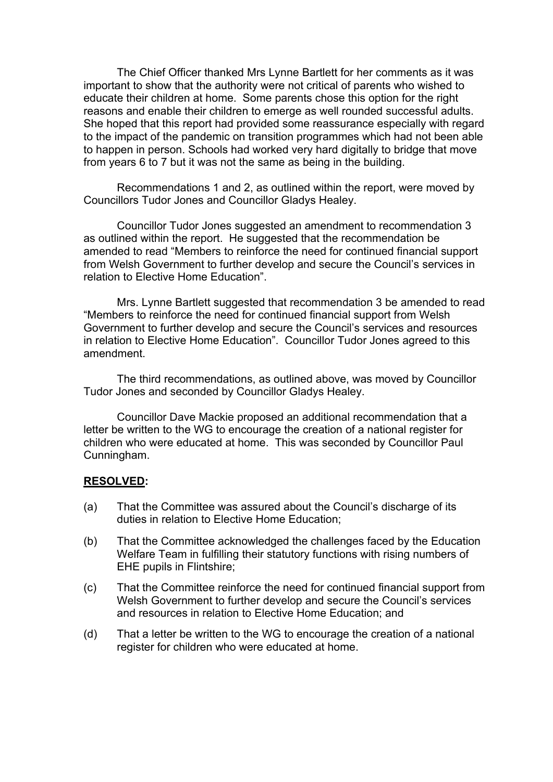The Chief Officer thanked Mrs Lynne Bartlett for her comments as it was important to show that the authority were not critical of parents who wished to educate their children at home. Some parents chose this option for the right reasons and enable their children to emerge as well rounded successful adults. She hoped that this report had provided some reassurance especially with regard to the impact of the pandemic on transition programmes which had not been able to happen in person. Schools had worked very hard digitally to bridge that move from years 6 to 7 but it was not the same as being in the building.

Recommendations 1 and 2, as outlined within the report, were moved by Councillors Tudor Jones and Councillor Gladys Healey.

Councillor Tudor Jones suggested an amendment to recommendation 3 as outlined within the report. He suggested that the recommendation be amended to read "Members to reinforce the need for continued financial support from Welsh Government to further develop and secure the Council's services in relation to Elective Home Education".

Mrs. Lynne Bartlett suggested that recommendation 3 be amended to read "Members to reinforce the need for continued financial support from Welsh Government to further develop and secure the Council's services and resources in relation to Elective Home Education". Councillor Tudor Jones agreed to this amendment.

The third recommendations, as outlined above, was moved by Councillor Tudor Jones and seconded by Councillor Gladys Healey.

Councillor Dave Mackie proposed an additional recommendation that a letter be written to the WG to encourage the creation of a national register for children who were educated at home. This was seconded by Councillor Paul Cunningham.

#### **RESOLVED:**

- (a) That the Committee was assured about the Council's discharge of its duties in relation to Elective Home Education;
- (b) That the Committee acknowledged the challenges faced by the Education Welfare Team in fulfilling their statutory functions with rising numbers of EHE pupils in Flintshire;
- (c) That the Committee reinforce the need for continued financial support from Welsh Government to further develop and secure the Council's services and resources in relation to Elective Home Education; and
- (d) That a letter be written to the WG to encourage the creation of a national register for children who were educated at home.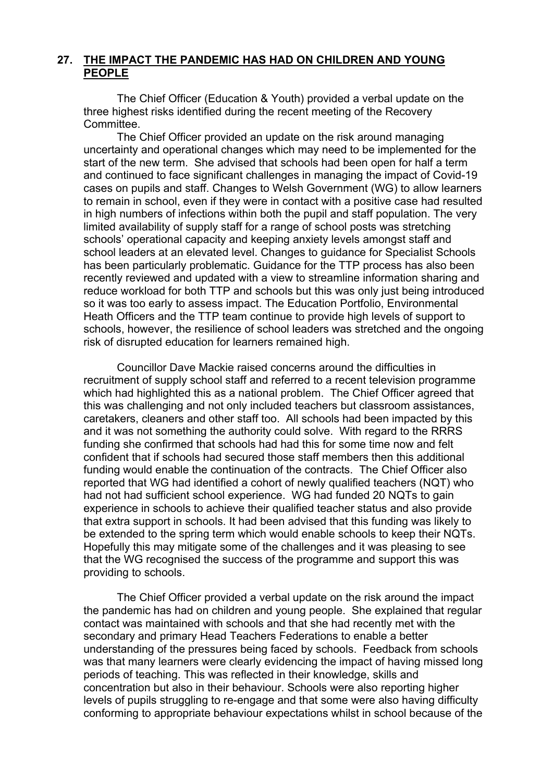# **27. THE IMPACT THE PANDEMIC HAS HAD ON CHILDREN AND YOUNG PEOPLE**

The Chief Officer (Education & Youth) provided a verbal update on the three highest risks identified during the recent meeting of the Recovery Committee.

The Chief Officer provided an update on the risk around managing uncertainty and operational changes which may need to be implemented for the start of the new term. She advised that schools had been open for half a term and continued to face significant challenges in managing the impact of Covid-19 cases on pupils and staff. Changes to Welsh Government (WG) to allow learners to remain in school, even if they were in contact with a positive case had resulted in high numbers of infections within both the pupil and staff population. The very limited availability of supply staff for a range of school posts was stretching schools' operational capacity and keeping anxiety levels amongst staff and school leaders at an elevated level. Changes to guidance for Specialist Schools has been particularly problematic. Guidance for the TTP process has also been recently reviewed and updated with a view to streamline information sharing and reduce workload for both TTP and schools but this was only just being introduced so it was too early to assess impact. The Education Portfolio, Environmental Heath Officers and the TTP team continue to provide high levels of support to schools, however, the resilience of school leaders was stretched and the ongoing risk of disrupted education for learners remained high.

Councillor Dave Mackie raised concerns around the difficulties in recruitment of supply school staff and referred to a recent television programme which had highlighted this as a national problem. The Chief Officer agreed that this was challenging and not only included teachers but classroom assistances, caretakers, cleaners and other staff too. All schools had been impacted by this and it was not something the authority could solve. With regard to the RRRS funding she confirmed that schools had had this for some time now and felt confident that if schools had secured those staff members then this additional funding would enable the continuation of the contracts. The Chief Officer also reported that WG had identified a cohort of newly qualified teachers (NQT) who had not had sufficient school experience. WG had funded 20 NQTs to gain experience in schools to achieve their qualified teacher status and also provide that extra support in schools. It had been advised that this funding was likely to be extended to the spring term which would enable schools to keep their NQTs. Hopefully this may mitigate some of the challenges and it was pleasing to see that the WG recognised the success of the programme and support this was providing to schools.

The Chief Officer provided a verbal update on the risk around the impact the pandemic has had on children and young people. She explained that regular contact was maintained with schools and that she had recently met with the secondary and primary Head Teachers Federations to enable a better understanding of the pressures being faced by schools. Feedback from schools was that many learners were clearly evidencing the impact of having missed long periods of teaching. This was reflected in their knowledge, skills and concentration but also in their behaviour. Schools were also reporting higher levels of pupils struggling to re-engage and that some were also having difficulty conforming to appropriate behaviour expectations whilst in school because of the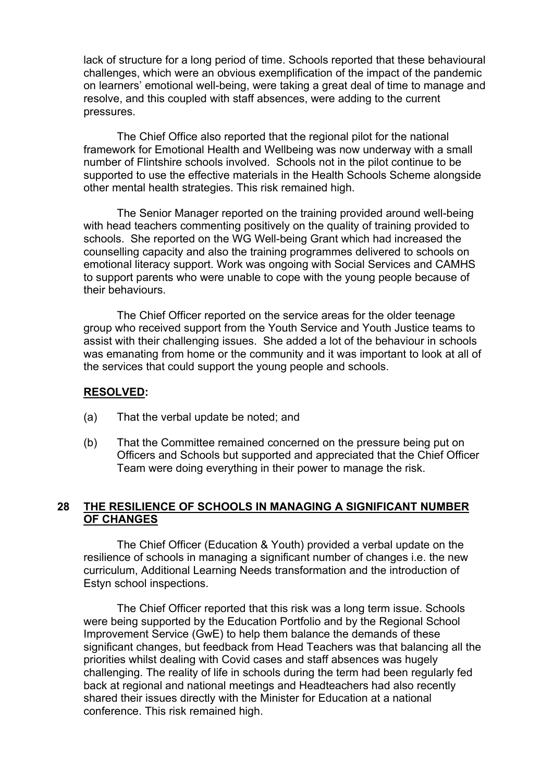lack of structure for a long period of time. Schools reported that these behavioural challenges, which were an obvious exemplification of the impact of the pandemic on learners' emotional well-being, were taking a great deal of time to manage and resolve, and this coupled with staff absences, were adding to the current pressures.

The Chief Office also reported that the regional pilot for the national framework for Emotional Health and Wellbeing was now underway with a small number of Flintshire schools involved. Schools not in the pilot continue to be supported to use the effective materials in the Health Schools Scheme alongside other mental health strategies. This risk remained high.

The Senior Manager reported on the training provided around well-being with head teachers commenting positively on the quality of training provided to schools. She reported on the WG Well-being Grant which had increased the counselling capacity and also the training programmes delivered to schools on emotional literacy support. Work was ongoing with Social Services and CAMHS to support parents who were unable to cope with the young people because of their behaviours.

The Chief Officer reported on the service areas for the older teenage group who received support from the Youth Service and Youth Justice teams to assist with their challenging issues. She added a lot of the behaviour in schools was emanating from home or the community and it was important to look at all of the services that could support the young people and schools.

### **RESOLVED:**

- (a) That the verbal update be noted; and
- (b) That the Committee remained concerned on the pressure being put on Officers and Schools but supported and appreciated that the Chief Officer Team were doing everything in their power to manage the risk.

# **28 THE RESILIENCE OF SCHOOLS IN MANAGING A SIGNIFICANT NUMBER OF CHANGES**

The Chief Officer (Education & Youth) provided a verbal update on the resilience of schools in managing a significant number of changes i.e. the new curriculum, Additional Learning Needs transformation and the introduction of Estyn school inspections.

The Chief Officer reported that this risk was a long term issue. Schools were being supported by the Education Portfolio and by the Regional School Improvement Service (GwE) to help them balance the demands of these significant changes, but feedback from Head Teachers was that balancing all the priorities whilst dealing with Covid cases and staff absences was hugely challenging. The reality of life in schools during the term had been regularly fed back at regional and national meetings and Headteachers had also recently shared their issues directly with the Minister for Education at a national conference. This risk remained high.